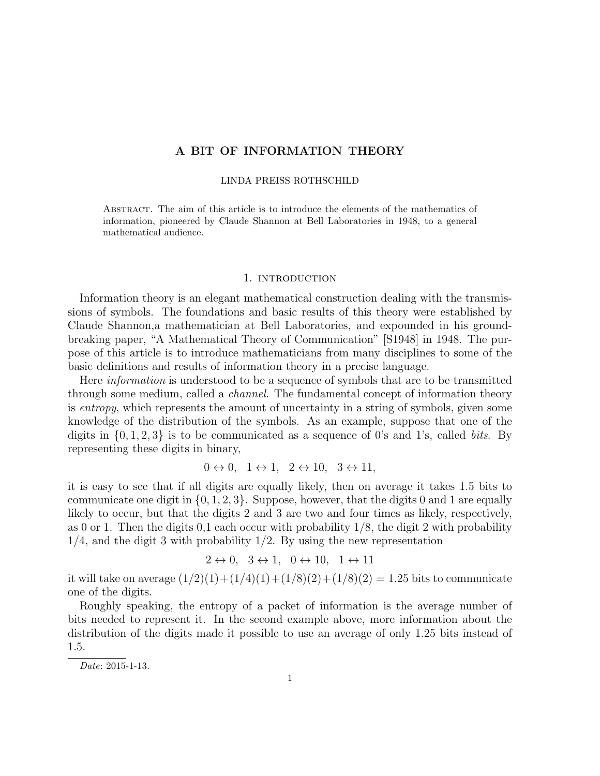# A BIT OF INFORMATION THEORY

### LINDA PREISS ROTHSCHILD

Abstract. The aim of this article is to introduce the elements of the mathematics of information, pioneered by Claude Shannon at Bell Laboratories in 1948, to a general mathematical audience.

### 1. INTRODUCTION

Information theory is an elegant mathematical construction dealing with the transmissions of symbols. The foundations and basic results of this theory were established by Claude Shannon,a mathematician at Bell Laboratories, and expounded in his groundbreaking paper, "A Mathematical Theory of Communication" [S1948] in 1948. The purpose of this article is to introduce mathematicians from many disciplines to some of the basic definitions and results of information theory in a precise language.

Here *information* is understood to be a sequence of symbols that are to be transmitted through some medium, called a channel. The fundamental concept of information theory is entropy, which represents the amount of uncertainty in a string of symbols, given some knowledge of the distribution of the symbols. As an example, suppose that one of the digits in  $\{0, 1, 2, 3\}$  is to be communicated as a sequence of 0's and 1's, called *bits*. By representing these digits in binary,

 $0 \leftrightarrow 0, \quad 1 \leftrightarrow 1, \quad 2 \leftrightarrow 10, \quad 3 \leftrightarrow 11,$ 

it is easy to see that if all digits are equally likely, then on average it takes 1.5 bits to communicate one digit in  $\{0, 1, 2, 3\}$ . Suppose, however, that the digits 0 and 1 are equally likely to occur, but that the digits 2 and 3 are two and four times as likely, respectively, as 0 or 1. Then the digits  $0,1$  each occur with probability  $1/8$ , the digit 2 with probability  $1/4$ , and the digit 3 with probability  $1/2$ . By using the new representation

$$
2 \leftrightarrow 0, \quad 3 \leftrightarrow 1, \quad 0 \leftrightarrow 10, \quad 1 \leftrightarrow 11
$$

it will take on average  $(1/2)(1)+(1/4)(1)+(1/8)(2)+(1/8)(2) = 1.25$  bits to communicate one of the digits.

Roughly speaking, the entropy of a packet of information is the average number of bits needed to represent it. In the second example above, more information about the distribution of the digits made it possible to use an average of only 1.25 bits instead of 1.5.

Date: 2015-1-13.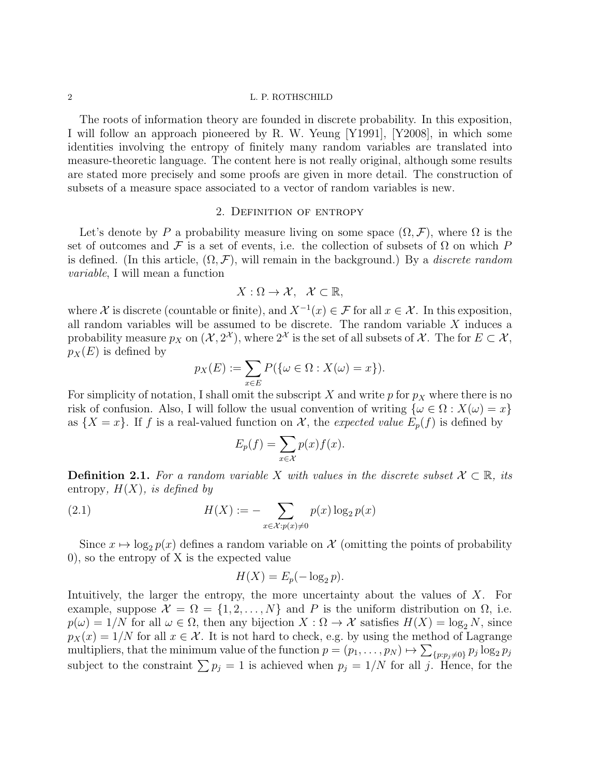The roots of information theory are founded in discrete probability. In this exposition, I will follow an approach pioneered by R. W. Yeung [Y1991], [Y2008], in which some identities involving the entropy of finitely many random variables are translated into measure-theoretic language. The content here is not really original, although some results are stated more precisely and some proofs are given in more detail. The construction of subsets of a measure space associated to a vector of random variables is new.

# 2. Definition of entropy

Let's denote by P a probability measure living on some space  $(\Omega, \mathcal{F})$ , where  $\Omega$  is the set of outcomes and F is a set of events, i.e. the collection of subsets of  $\Omega$  on which P is defined. (In this article,  $(\Omega, \mathcal{F})$ , will remain in the background.) By a *discrete random* variable, I will mean a function

$$
X:\Omega\to\mathcal{X},\ \mathcal{X}\subset\mathbb{R},
$$

where X is discrete (countable or finite), and  $X^{-1}(x) \in \mathcal{F}$  for all  $x \in \mathcal{X}$ . In this exposition, all random variables will be assumed to be discrete. The random variable  $X$  induces a probability measure  $p_X$  on  $(\mathcal{X}, 2^{\mathcal{X}})$ , where  $2^{\mathcal{X}}$  is the set of all subsets of  $\mathcal{X}$ . The for  $E \subset \mathcal{X}$ ,  $p_X(E)$  is defined by

$$
p_X(E) := \sum_{x \in E} P(\{\omega \in \Omega : X(\omega) = x\}).
$$

For simplicity of notation, I shall omit the subscript X and write p for  $p<sub>X</sub>$  where there is no risk of confusion. Also, I will follow the usual convention of writing  $\{\omega \in \Omega : X(\omega) = x\}$ as  $\{X = x\}$ . If f is a real-valued function on X, the expected value  $E_p(f)$  is defined by

$$
E_p(f) = \sum_{x \in \mathcal{X}} p(x) f(x).
$$

**Definition 2.1.** For a random variable X with values in the discrete subset  $\mathcal{X} \subset \mathbb{R}$ , its entropy,  $H(X)$ , is defined by

(2.1) 
$$
H(X) := -\sum_{x \in \mathcal{X}: p(x) \neq 0} p(x) \log_2 p(x)
$$

Since  $x \mapsto \log_2 p(x)$  defines a random variable on X (omitting the points of probability 0), so the entropy of X is the expected value

$$
H(X) = E_p(-\log_2 p).
$$

Intuitively, the larger the entropy, the more uncertainty about the values of X. For example, suppose  $\mathcal{X} = \Omega = \{1, 2, ..., N\}$  and P is the uniform distribution on  $\Omega$ , i.e.  $p(\omega) = 1/N$  for all  $\omega \in \Omega$ , then any bijection  $X : \Omega \to \mathcal{X}$  satisfies  $H(X) = \log_2 N$ , since  $p_X(x) = 1/N$  for all  $x \in \mathcal{X}$ . It is not hard to check, e.g. by using the method of Lagrange multipliers, that the minimum value of the function  $p = (p_1, \ldots, p_N) \mapsto \sum_{\{p: p_j \neq 0\}} p_j \log_2 p_j$ subject to the constraint  $\sum p_j = 1$  is achieved when  $p_j = 1/N$  for all j. Hence, for the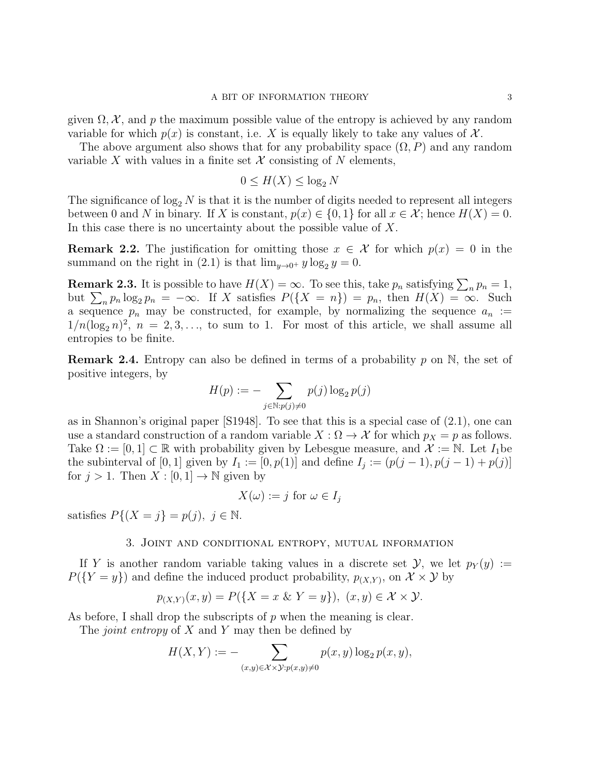given  $\Omega$ ,  $\mathcal{X}$ , and p the maximum possible value of the entropy is achieved by any random variable for which  $p(x)$  is constant, i.e. X is equally likely to take any values of X.

The above argument also shows that for any probability space  $(\Omega, P)$  and any random variable X with values in a finite set  $\mathcal X$  consisting of N elements,

$$
0 \le H(X) \le \log_2 N
$$

The significance of  $\log_2 N$  is that it is the number of digits needed to represent all integers between 0 and N in binary. If X is constant,  $p(x) \in \{0,1\}$  for all  $x \in \mathcal{X}$ ; hence  $H(X) = 0$ . In this case there is no uncertainty about the possible value of  $X$ .

**Remark 2.2.** The justification for omitting those  $x \in \mathcal{X}$  for which  $p(x) = 0$  in the summand on the right in (2.1) is that  $\lim_{y\to 0^+} y \log_2 y = 0$ .

**Remark 2.3.** It is possible to have  $H(X) = \infty$ . To see this, take  $p_n$  satisfying  $\sum_n p_n = 1$ , but  $\sum_n p_n \log_2 p_n = -\infty$ . If X satisfies  $P(\{X = n\}) = p_n$ , then  $H(X) = \infty$ . Such a sequence  $p_n$  may be constructed, for example, by normalizing the sequence  $a_n :=$  $1/n(\log_2 n)^2$ ,  $n = 2, 3, \ldots$ , to sum to 1. For most of this article, we shall assume all entropies to be finite.

**Remark 2.4.** Entropy can also be defined in terms of a probability p on  $\mathbb{N}$ , the set of positive integers, by

$$
H(p) := -\sum_{j \in \mathbb{N}: p(j) \neq 0} p(j) \log_2 p(j)
$$

as in Shannon's original paper [S1948]. To see that this is a special case of (2.1), one can use a standard construction of a random variable  $X : \Omega \to \mathcal{X}$  for which  $p_X = p$  as follows. Take  $\Omega := [0,1] \subset \mathbb{R}$  with probability given by Lebesgue measure, and  $\mathcal{X} := \mathbb{N}$ . Let  $I_1$ be the subinterval of [0, 1] given by  $I_1 := [0, p(1)]$  and define  $I_j := (p(j-1), p(j-1) + p(j)]$ for  $j > 1$ . Then  $X : [0, 1] \to \mathbb{N}$  given by

$$
X(\omega) := j \text{ for } \omega \in I_j
$$

satisfies  $P\{(X=j\}=p(j), j \in \mathbb{N}.$ 

## 3. Joint and conditional entropy, mutual information

If Y is another random variable taking values in a discrete set  $\mathcal{Y}$ , we let  $p_Y(y) :=$  $P({Y = y})$  and define the induced product probability,  $p_{(X,Y)}$ , on  $\mathcal{X} \times \mathcal{Y}$  by

$$
p_{(X,Y)}(x,y) = P(\{X = x \& Y = y\}), (x,y) \in \mathcal{X} \times \mathcal{Y}.
$$

As before, I shall drop the subscripts of  $p$  when the meaning is clear.

The *joint entropy* of  $X$  and  $Y$  may then be defined by

$$
H(X,Y) := -\sum_{(x,y)\in\mathcal{X}\times\mathcal{Y}:p(x,y)\neq 0} p(x,y)\log_2 p(x,y),
$$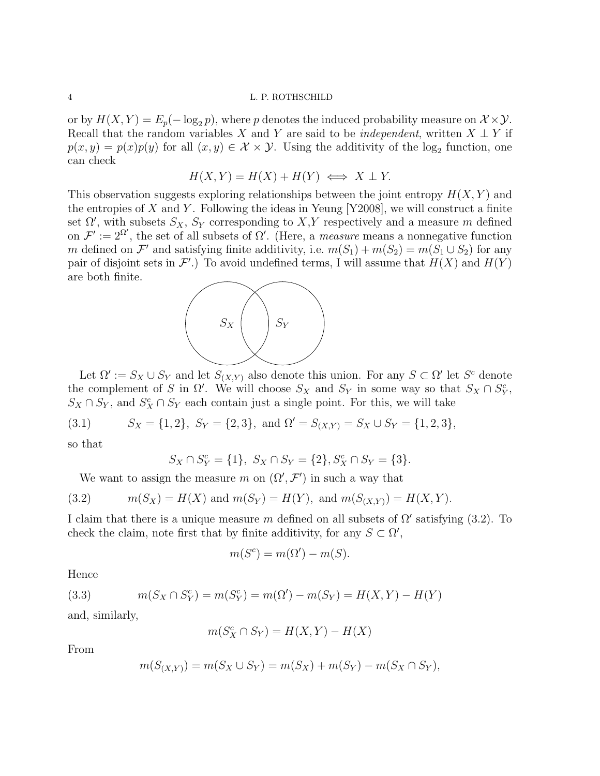or by  $H(X, Y) = E_p(-\log_2 p)$ , where p denotes the induced probability measure on  $\mathcal{X} \times \mathcal{Y}$ . Recall that the random variables X and Y are said to be *independent*, written  $X \perp Y$  if  $p(x, y) = p(x)p(y)$  for all  $(x, y) \in \mathcal{X} \times \mathcal{Y}$ . Using the additivity of the log<sub>2</sub> function, one can check

$$
H(X, Y) = H(X) + H(Y) \iff X \perp Y.
$$

This observation suggests exploring relationships between the joint entropy  $H(X, Y)$  and the entropies of X and Y. Following the ideas in Yeung  $[Y2008]$ , we will construct a finite set  $\Omega'$ , with subsets  $S_X$ ,  $S_Y$  corresponding to  $X,Y$  respectively and a measure m defined on  $\mathcal{F}' := 2^{\Omega'}$ , the set of all subsets of  $\Omega'$ . (Here, a *measure* means a nonnegative function m defined on  $\mathcal{F}'$  and satisfying finite additivity, i.e.  $m(S_1) + m(S_2) = m(S_1 \cup S_2)$  for any pair of disjoint sets in  $\mathcal{F}'$ .) To avoid undefined terms, I will assume that  $H(X)$  and  $H(Y)$ are both finite.



Let  $\Omega' := S_X \cup S_Y$  and let  $S_{(X,Y)}$  also denote this union. For any  $S \subset \Omega'$  let  $S^c$  denote the complement of S in  $\Omega'$ . We will choose  $S_X$  and  $S_Y$  in some way so that  $S_X \cap S_Y^c$ ,  $S_X \cap S_Y$ , and  $S_X^c \cap S_Y$  each contain just a single point. For this, we will take

(3.1) 
$$
S_X = \{1, 2\}, S_Y = \{2, 3\}, \text{ and } \Omega' = S_{(X,Y)} = S_X \cup S_Y = \{1, 2, 3\},
$$

so that

$$
S_X \cap S_Y^c = \{1\}, \ S_X \cap S_Y = \{2\}, S_X^c \cap S_Y = \{3\}.
$$

We want to assign the measure m on  $(\Omega', \mathcal{F}')$  in such a way that

(3.2) 
$$
m(S_X) = H(X)
$$
 and  $m(S_Y) = H(Y)$ , and  $m(S_{(X,Y)}) = H(X,Y)$ .

I claim that there is a unique measure m defined on all subsets of  $\Omega'$  satisfying (3.2). To check the claim, note first that by finite additivity, for any  $S \subset \Omega'$ ,

$$
m(S^c) = m(\Omega') - m(S).
$$

Hence

(3.3) 
$$
m(S_X \cap S_Y^c) = m(S_Y^c) = m(\Omega') - m(S_Y) = H(X, Y) - H(Y)
$$

and, similarly,

$$
m(S_X^c \cap S_Y) = H(X, Y) - H(X)
$$

From

$$
m(S_{(X,Y)}) = m(S_X \cup S_Y) = m(S_X) + m(S_Y) - m(S_X \cap S_Y),
$$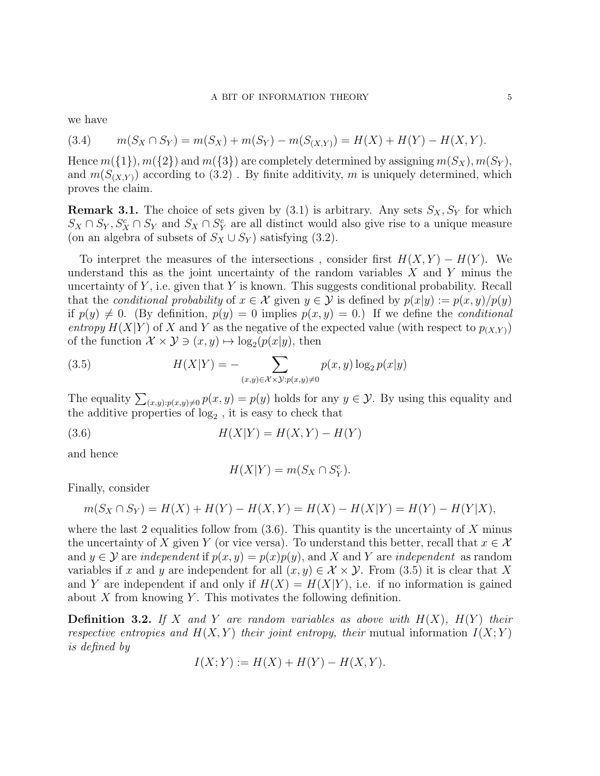we have

$$
(3.4) \qquad m(S_X \cap S_Y) = m(S_X) + m(S_Y) - m(S_{(X,Y)}) = H(X) + H(Y) - H(X,Y).
$$

Hence  $m({1}), m({2})$  and  $m({3})$  are completely determined by assigning  $m(S_X), m(S_Y)$ , and  $m(S_{(X,Y)})$  according to (3.2). By finite additivity, m is uniquely determined, which proves the claim.

**Remark 3.1.** The choice of sets given by  $(3.1)$  is arbitrary. Any sets  $S_X, S_Y$  for which  $S_X \cap S_Y$ ,  $S_X^c \cap S_Y$  and  $S_X \cap S_Y^c$  are all distinct would also give rise to a unique measure (on an algebra of subsets of  $S_X \cup S_Y$ ) satisfying (3.2).

To interpret the measures of the intersections, consider first  $H(X, Y) - H(Y)$ . We understand this as the joint uncertainty of the random variables  $X$  and  $Y$  minus the uncertainty of  $Y$ , i.e. given that Y is known. This suggests conditional probability. Recall that the conditional probability of  $x \in \mathcal{X}$  given  $y \in \mathcal{Y}$  is defined by  $p(x|y) := p(x, y)/p(y)$ if  $p(y) \neq 0$ . (By definition,  $p(y) = 0$  implies  $p(x, y) = 0$ .) If we define the *conditional* entropy  $H(X|Y)$  of X and Y as the negative of the expected value (with respect to  $p_{(X,Y)}$ ) of the function  $\mathcal{X} \times \mathcal{Y} \ni (x, y) \mapsto \log_2(p(x|y))$ , then

(3.5) 
$$
H(X|Y) = -\sum_{(x,y)\in\mathcal{X}\times\mathcal{Y}:p(x,y)\neq 0} p(x,y)\log_2 p(x|y)
$$

The equality  $\sum_{(x,y):p(x,y)\neq 0} p(x,y) = p(y)$  holds for any  $y \in \mathcal{Y}$ . By using this equality and the additive properties of  $log_2$ , it is easy to check that

(3.6) 
$$
H(X|Y) = H(X,Y) - H(Y)
$$

and hence

$$
H(X|Y) = m(S_X \cap S_Y^c).
$$

Finally, consider

$$
m(S_X \cap S_Y) = H(X) + H(Y) - H(X, Y) = H(X) - H(X|Y) = H(Y) - H(Y|X),
$$

where the last 2 equalities follow from  $(3.6)$ . This quantity is the uncertainty of X minus the uncertainty of X given Y (or vice versa). To understand this better, recall that  $x \in \mathcal{X}$ and  $y \in Y$  are *independent* if  $p(x, y) = p(x)p(y)$ , and X and Y are *independent* as random variables if x and y are independent for all  $(x, y) \in \mathcal{X} \times \mathcal{Y}$ . From (3.5) it is clear that X and Y are independent if and only if  $H(X) = H(X|Y)$ , i.e. if no information is gained about  $X$  from knowing  $Y$ . This motivates the following definition.

**Definition 3.2.** If X and Y are random variables as above with  $H(X)$ ,  $H(Y)$  their respective entropies and  $H(X, Y)$  their joint entropy, their mutual information  $I(X; Y)$ is defined by

$$
I(X;Y) := H(X) + H(Y) - H(X,Y).
$$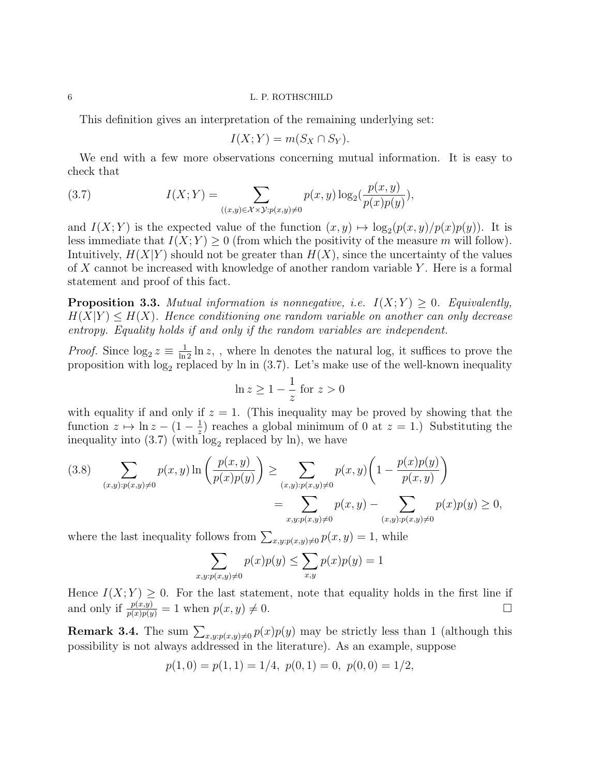This definition gives an interpretation of the remaining underlying set:

$$
I(X;Y) = m(S_X \cap S_Y).
$$

We end with a few more observations concerning mutual information. It is easy to check that

(3.7) 
$$
I(X;Y) = \sum_{((x,y)\in\mathcal{X}\times\mathcal{Y}:p(x,y)\neq 0} p(x,y)\log_2(\frac{p(x,y)}{p(x)p(y)}),
$$

and  $I(X; Y)$  is the expected value of the function  $(x, y) \mapsto \log_2(p(x, y)/p(x)p(y))$ . It is less immediate that  $I(X; Y) \geq 0$  (from which the positivity of the measure m will follow). Intuitively,  $H(X|Y)$  should not be greater than  $H(X)$ , since the uncertainty of the values of X cannot be increased with knowledge of another random variable  $Y$ . Here is a formal statement and proof of this fact.

**Proposition 3.3.** Mutual information is nonnegative, i.e.  $I(X;Y) \geq 0$ . Equivalently,  $H(X|Y) \leq H(X)$ . Hence conditioning one random variable on another can only decrease entropy. Equality holds if and only if the random variables are independent.

*Proof.* Since  $\log_2 z \equiv \frac{1}{\ln 2} \ln z$ , , where  $\ln$  denotes the natural log, it suffices to prove the proposition with  $log_2$  replaced by  $ln$  in (3.7). Let's make use of the well-known inequality

$$
\ln z \ge 1 - \frac{1}{z} \text{ for } z > 0
$$

with equality if and only if  $z = 1$ . (This inequality may be proved by showing that the function  $z \mapsto \ln z - (1 - \frac{1}{z})$  $\frac{1}{z}$ ) reaches a global minimum of 0 at  $z = 1$ .) Substituting the inequality into  $(3.7)$  (with  $log_2$  replaced by ln), we have

$$
(3.8) \sum_{(x,y):p(x,y)\neq 0} p(x,y) \ln \left( \frac{p(x,y)}{p(x)p(y)} \right) \ge \sum_{(x,y):p(x,y)\neq 0} p(x,y) \left( 1 - \frac{p(x)p(y)}{p(x,y)} \right)
$$
  
= 
$$
\sum_{x,y:p(x,y)\neq 0} p(x,y) - \sum_{(x,y):p(x,y)\neq 0} p(x)p(y) \ge 0,
$$

where the last inequality follows from  $\sum_{x,y:p(x,y)\neq 0} p(x,y) = 1$ , while

$$
\sum_{x,y:p(x,y)\neq 0} p(x)p(y) \leq \sum_{x,y} p(x)p(y) = 1
$$

Hence  $I(X;Y) \geq 0$ . For the last statement, note that equality holds in the first line if and only if  $\frac{p(x,y)}{p(x)p(y)} = 1$  when  $p(x, y) \neq 0$ .

**Remark 3.4.** The sum  $\sum_{x,y:p(x,y)\neq 0} p(x)p(y)$  may be strictly less than 1 (although this possibility is not always addressed in the literature). As an example, suppose

$$
p(1,0) = p(1,1) = 1/4, p(0,1) = 0, p(0,0) = 1/2,
$$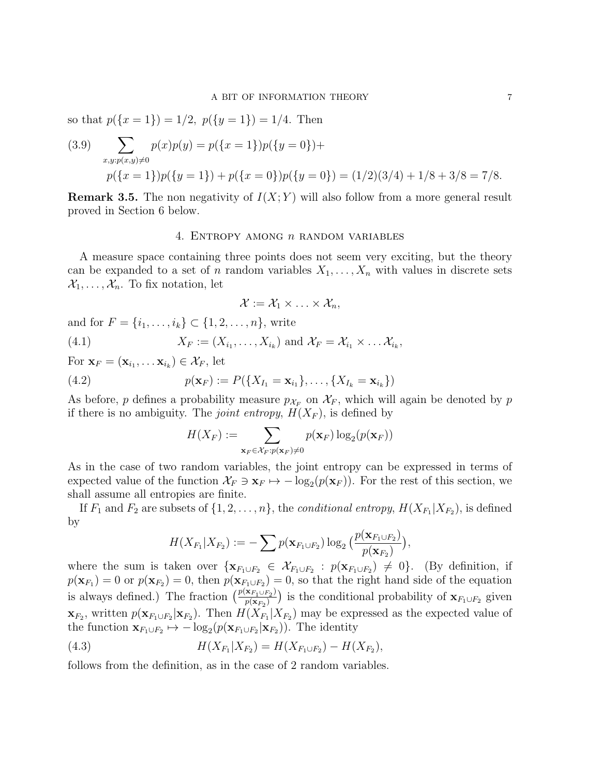so that  $p({x = 1}) = 1/2$ ,  $p({y = 1}) = 1/4$ . Then

(3.9) 
$$
\sum_{x,y:p(x,y)\neq 0} p(x)p(y) = p({x = 1})p({y = 0}) +
$$

$$
p({x = 1})p({y = 1}) + p({x = 0})p({y = 0}) = (1/2)(3/4) + 1/8 + 3/8 = 7/8.
$$

**Remark 3.5.** The non negativity of  $I(X; Y)$  will also follow from a more general result proved in Section 6 below.

# 4. ENTROPY AMONG  $n$  random variables

A measure space containing three points does not seem very exciting, but the theory can be expanded to a set of n random variables  $X_1, \ldots, X_n$  with values in discrete sets  $\mathcal{X}_1, \ldots, \mathcal{X}_n$ . To fix notation, let

$$
\mathcal{X} := \mathcal{X}_1 \times \ldots \times \mathcal{X}_n,
$$

and for  $F = \{i_1, ..., i_k\} \subset \{1, 2, ..., n\}$ , write

(4.1) 
$$
X_F := (X_{i_1}, \ldots, X_{i_k}) \text{ and } \mathcal{X}_F = \mathcal{X}_{i_1} \times \ldots \mathcal{X}_{i_k},
$$

For  $\mathbf{x}_F = (\mathbf{x}_{i_1}, \dots \mathbf{x}_{i_k}) \in \mathcal{X}_F$ , let

(4.2) 
$$
p(\mathbf{x}_F) := P(\{X_{I_1} = \mathbf{x}_{i_1}\}, \dots, \{X_{I_k} = \mathbf{x}_{i_k}\})
$$

As before, p defines a probability measure  $p_{\mathcal{X}_F}$  on  $\mathcal{X}_F$ , which will again be denoted by p if there is no ambiguity. The *joint entropy*,  $H(X_F)$ , is defined by

$$
H(X_F) := \sum_{\mathbf{x}_F \in \mathcal{X}_F: p(\mathbf{x}_F) \neq 0} p(\mathbf{x}_F) \log_2(p(\mathbf{x}_F))
$$

As in the case of two random variables, the joint entropy can be expressed in terms of expected value of the function  $\mathcal{X}_F \ni \mathbf{x}_F \mapsto -\log_2(p(\mathbf{x}_F))$ . For the rest of this section, we shall assume all entropies are finite.

If  $F_1$  and  $F_2$  are subsets of  $\{1, 2, ..., n\}$ , the *conditional entropy*,  $H(X_{F_1}|X_{F_2})$ , is defined by

$$
H(X_{F_1}|X_{F_2}) := -\sum p(\mathbf{x}_{F_1 \cup F_2}) \log_2 \big(\frac{p(\mathbf{x}_{F_1 \cup F_2})}{p(\mathbf{x}_{F_2})}\big),
$$

where the sum is taken over  $\{x_{F_1 \cup F_2} \in \mathcal{X}_{F_1 \cup F_2} : p(x_{F_1 \cup F_2}) \neq 0\}$ . (By definition, if  $p(\mathbf{x}_{F_1}) = 0$  or  $p(\mathbf{x}_{F_2}) = 0$ , then  $p(\mathbf{x}_{F_1 \cup F_2}) = 0$ , so that the right hand side of the equation is always defined.) The fraction  $\left(\frac{p(\mathbf{x}_{F_1\cup F_2})}{p(\mathbf{x}_F)}\right)$  $\frac{\mathbf{x}_{F_1 \cup F_2}}{p(\mathbf{x}_{F_2})}$  is the conditional probability of  $\mathbf{x}_{F_1 \cup F_2}$  given  $\mathbf{x}_{F_2}$ , written  $p(\mathbf{x}_{F_1\cup F_2}|\mathbf{x}_{F_2})$ . Then  $H(X_{F_1}|X_{F_2})$  may be expressed as the expected value of the function  $\mathbf{x}_{F_1 \cup F_2} \mapsto -\log_2(p(\mathbf{x}_{F_1 \cup F_2}|\mathbf{x}_{F_2}))$ . The identity

(4.3) 
$$
H(X_{F_1}|X_{F_2}) = H(X_{F_1 \cup F_2}) - H(X_{F_2}),
$$

follows from the definition, as in the case of 2 random variables.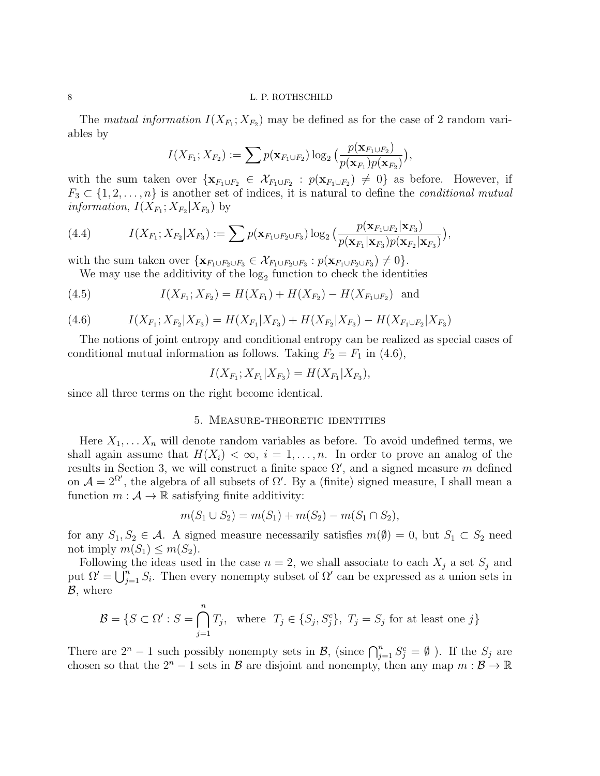The mutual information  $I(X_{F_1}; X_{F_2})$  may be defined as for the case of 2 random variables by

$$
I(X_{F_1}; X_{F_2}) := \sum p(\mathbf{x}_{F_1 \cup F_2}) \log_2 \big( \frac{p(\mathbf{x}_{F_1 \cup F_2})}{p(\mathbf{x}_{F_1})p(\mathbf{x}_{F_2})} \big),
$$

with the sum taken over  $\{x_{F_1\cup F_2} \in \mathcal{X}_{F_1\cup F_2} : p(x_{F_1\cup F_2}) \neq 0\}$  as before. However, if  $F_3 \subset \{1, 2, \ldots, n\}$  is another set of indices, it is natural to define the *conditional mutual information*,  $I(X_{F_1}; X_{F_2}|X_{F_3})$  by

(4.4) 
$$
I(X_{F_1}; X_{F_2}|X_{F_3}) := \sum p(\mathbf{x}_{F_1 \cup F_2 \cup F_3}) \log_2 \big( \frac{p(\mathbf{x}_{F_1 \cup F_2}|\mathbf{x}_{F_3})}{p(\mathbf{x}_{F_1}|\mathbf{x}_{F_3})p(\mathbf{x}_{F_2}|\mathbf{x}_{F_3})} \big),
$$

with the sum taken over  $\{ \mathbf{x}_{F_1 \cup F_2 \cup F_3} \in \mathcal{X}_{F_1 \cup F_2 \cup F_3} : p(\mathbf{x}_{F_1 \cup F_2 \cup F_3}) \neq 0 \}$ .

We may use the additivity of the  $log_2$  function to check the identities

(4.5) 
$$
I(X_{F_1}; X_{F_2}) = H(X_{F_1}) + H(X_{F_2}) - H(X_{F_1 \cup F_2}) \text{ and}
$$

(4.6) 
$$
I(X_{F_1}; X_{F_2}|X_{F_3}) = H(X_{F_1}|X_{F_3}) + H(X_{F_2}|X_{F_3}) - H(X_{F_1 \cup F_2}|X_{F_3})
$$

The notions of joint entropy and conditional entropy can be realized as special cases of conditional mutual information as follows. Taking  $F_2 = F_1$  in (4.6),

$$
I(X_{F_1}; X_{F_1}|X_{F_3}) = H(X_{F_1}|X_{F_3}),
$$

since all three terms on the right become identical.

# 5. Measure-theoretic identities

Here  $X_1, \ldots, X_n$  will denote random variables as before. To avoid undefined terms, we shall again assume that  $H(X_i) < \infty$ ,  $i = 1, \ldots, n$ . In order to prove an analog of the results in Section 3, we will construct a finite space  $\Omega'$ , and a signed measure m defined on  $\mathcal{A} = 2^{\Omega'}$ , the algebra of all subsets of  $\Omega'$ . By a (finite) signed measure, I shall mean a function  $m : \mathcal{A} \to \mathbb{R}$  satisfying finite additivity:

$$
m(S_1 \cup S_2) = m(S_1) + m(S_2) - m(S_1 \cap S_2),
$$

for any  $S_1, S_2 \in \mathcal{A}$ . A signed measure necessarily satisfies  $m(\emptyset) = 0$ , but  $S_1 \subset S_2$  need not imply  $m(S_1) \leq m(S_2)$ .

Following the ideas used in the case  $n = 2$ , we shall associate to each  $X_j$  a set  $S_j$  and put  $\Omega' = \bigcup_{j=1}^n S_j$ . Then every nonempty subset of  $\Omega'$  can be expressed as a union sets in  $\mathcal{B}$ , where

$$
\mathcal{B} = \{ S \subset \Omega' : S = \bigcap_{j=1}^{n} T_j, \text{ where } T_j \in \{S_j, S_j^c\}, T_j = S_j \text{ for at least one } j \}
$$

There are  $2^n - 1$  such possibly nonempty sets in  $\mathcal{B}$ , (since  $\bigcap_{j=1}^n S_j^c = \emptyset$ ). If the  $S_j$  are chosen so that the  $2^{n} - 1$  sets in  $\mathcal{B}$  are disjoint and nonempty, then any map  $m : \mathcal{B} \to \mathbb{R}$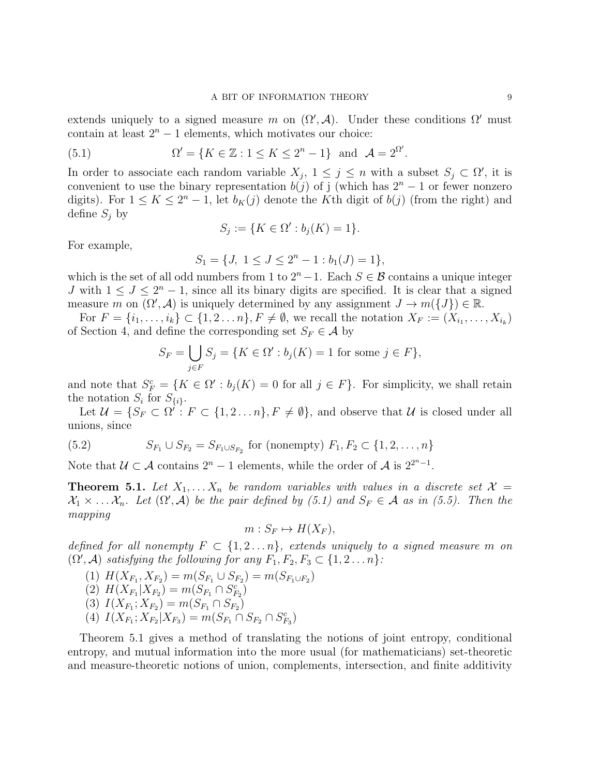extends uniquely to a signed measure m on  $(\Omega', A)$ . Under these conditions  $\Omega'$  must contain at least  $2<sup>n</sup> - 1$  elements, which motivates our choice:

(5.1) 
$$
\Omega' = \{K \in \mathbb{Z} : 1 \leq K \leq 2^n - 1\} \text{ and } \mathcal{A} = 2^{\Omega'}.
$$

In order to associate each random variable  $X_j$ ,  $1 \leq j \leq n$  with a subset  $S_j \subset \Omega'$ , it is convenient to use the binary representation  $b(j)$  of j (which has  $2<sup>n</sup> - 1$  or fewer nonzero digits). For  $1 \leq K \leq 2^{n} - 1$ , let  $b_{K}(j)$  denote the K<sup>th</sup> digit of  $b(j)$  (from the right) and define  $S_j$  by

$$
S_j := \{ K \in \Omega' : b_j(K) = 1 \}.
$$

For example,

$$
S_1 = \{J, \ 1 \le J \le 2^n - 1 : b_1(J) = 1\},\
$$

which is the set of all odd numbers from 1 to  $2<sup>n</sup> - 1$ . Each  $S \in \mathcal{B}$  contains a unique integer J with  $1 \leq J \leq 2^{n} - 1$ , since all its binary digits are specified. It is clear that a signed measure m on  $(\Omega', A)$  is uniquely determined by any assignment  $J \to m({J}) \in \mathbb{R}$ .

For  $F = \{i_1, \ldots, i_k\} \subset \{1, 2 \ldots n\}, F \neq \emptyset$ , we recall the notation  $X_F := (X_{i_1}, \ldots, X_{i_k})$ of Section 4, and define the corresponding set  $S_F \in \mathcal{A}$  by

$$
S_F = \bigcup_{j \in F} S_j = \{ K \in \Omega' : b_j(K) = 1 \text{ for some } j \in F \},
$$

and note that  $S_F^c = \{K \in \Omega' : b_j(K) = 0 \text{ for all } j \in F\}$ . For simplicity, we shall retain the notation  $S_i$  for  $S_{\{i\}}$ .

Let  $\mathcal{U} = \{S_F \subset \Omega^{\prime} : F \subset \{1, 2, \ldots n\}, F \neq \emptyset\}$ , and observe that  $\mathcal{U}$  is closed under all unions, since

(5.2) 
$$
S_{F_1} \cup S_{F_2} = S_{F_1 \cup S_{F_2}} \text{ for (nonempty) } F_1, F_2 \subset \{1, 2, ..., n\}
$$

Note that  $\mathcal{U} \subset \mathcal{A}$  contains  $2^n - 1$  elements, while the order of  $\mathcal{A}$  is  $2^{2^n - 1}$ .

**Theorem 5.1.** Let  $X_1, \ldots, X_n$  be random variables with values in a discrete set  $\mathcal{X} =$  $X_1 \times \ldots X_n$ . Let  $(\Omega', \mathcal{A})$  be the pair defined by (5.1) and  $S_F \in \mathcal{A}$  as in (5.5). Then the mapping

$$
m: S_F \mapsto H(X_F),
$$

defined for all nonempty  $F \subset \{1, 2, \ldots n\}$ , extends uniquely to a signed measure m on  $(\Omega', \mathcal{A})$  satisfying the following for any  $F_1, F_2, F_3 \subset \{1, 2 \ldots n\}$ :

$$
(1) H(X_{F_1}, X_{F_2}) = m(S_{F_1} \cup S_{F_2}) = m(S_{F_1 \cup F_2})
$$

$$
(2) H(X_{F_1}|X_{F_2}) = m(S_{F_1} \cap S_{F_2}^c)
$$

$$
(3) I(X_{F_1}; X_{F_2}) = m(S_{F_1} \cap S_{F_2})
$$

$$
(4) I(X_{F_1}; X_{F_2}|X_{F_3}) = m(S_{F_1} \cap S_{F_2} \cap S_{F_3}^c)
$$

Theorem 5.1 gives a method of translating the notions of joint entropy, conditional entropy, and mutual information into the more usual (for mathematicians) set-theoretic and measure-theoretic notions of union, complements, intersection, and finite additivity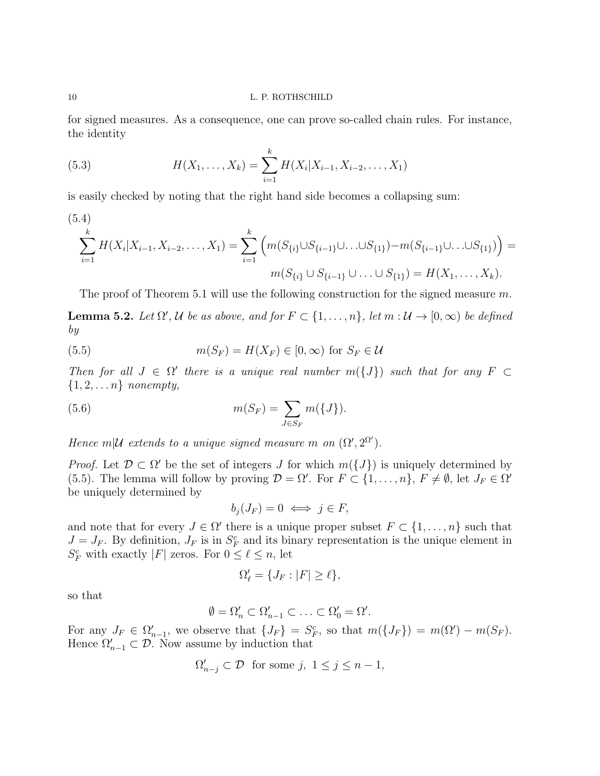for signed measures. As a consequence, one can prove so-called chain rules. For instance, the identity

(5.3) 
$$
H(X_1, ..., X_k) = \sum_{i=1}^k H(X_i | X_{i-1}, X_{i-2}, ..., X_1)
$$

is easily checked by noting that the right hand side becomes a collapsing sum:

$$
(5.4)
$$
\n
$$
\sum_{i=1}^{k} H(X_i | X_{i-1}, X_{i-2}, \dots, X_1) = \sum_{i=1}^{k} \left( m(S_{\{i\}} \cup S_{\{i-1\}} \cup \dots \cup S_{\{1\}}) - m(S_{\{i-1\}} \cup \dots \cup S_{\{1\}}) \right) =
$$
\n
$$
m(S_{\{i\}} \cup S_{\{i-1\}} \cup \dots \cup S_{\{1\}}) = H(X_1, \dots, X_k).
$$

The proof of Theorem 5.1 will use the following construction for the signed measure  $m$ .

**Lemma 5.2.** Let  $\Omega'$ , U be as above, and for  $F \subset \{1, \ldots, n\}$ , let  $m : U \to [0, \infty)$  be defined by

(5.5) 
$$
m(S_F) = H(X_F) \in [0, \infty) \text{ for } S_F \in \mathcal{U}
$$

Then for all  $J \in \Omega'$  there is a unique real number  $m({J})$  such that for any  $F \subset$  $\{1, 2, \ldots n\}$  nonempty,

(5.6) 
$$
m(S_F) = \sum_{J \in S_F} m(\{J\}).
$$

Hence m|U extends to a unique signed measure m on  $(\Omega', 2^{\Omega'})$ .

*Proof.* Let  $\mathcal{D} \subset \Omega'$  be the set of integers J for which  $m({J})$  is uniquely determined by (5.5). The lemma will follow by proving  $\mathcal{D} = \Omega'$ . For  $F \subset \{1, ..., n\}$ ,  $F \neq \emptyset$ , let  $J_F \in \Omega'$ be uniquely determined by

$$
b_j(J_F) = 0 \iff j \in F,
$$

and note that for every  $J \in \Omega'$  there is a unique proper subset  $F \subset \{1, \ldots, n\}$  such that  $J = J_F$ . By definition,  $J_F$  is in  $S_F^c$  and its binary representation is the unique element in  $S_F^c$  with exactly |F| zeros. For  $0 \le \ell \le n$ , let

$$
\Omega'_{\ell} = \{J_F : |F| \ge \ell\},\
$$

so that

$$
\emptyset = \Omega'_n \subset \Omega'_{n-1} \subset \ldots \subset \Omega'_0 = \Omega'.
$$

For any  $J_F \in \Omega'_{n-1}$ , we observe that  $\{J_F\} = S_F^c$ , so that  $m(\{J_F\}) = m(\Omega') - m(S_F)$ . Hence  $\Omega'_{n-1} \subset \mathcal{D}$ . Now assume by induction that

$$
\Omega'_{n-j} \subset \mathcal{D} \text{ for some } j, \ 1 \le j \le n-1,
$$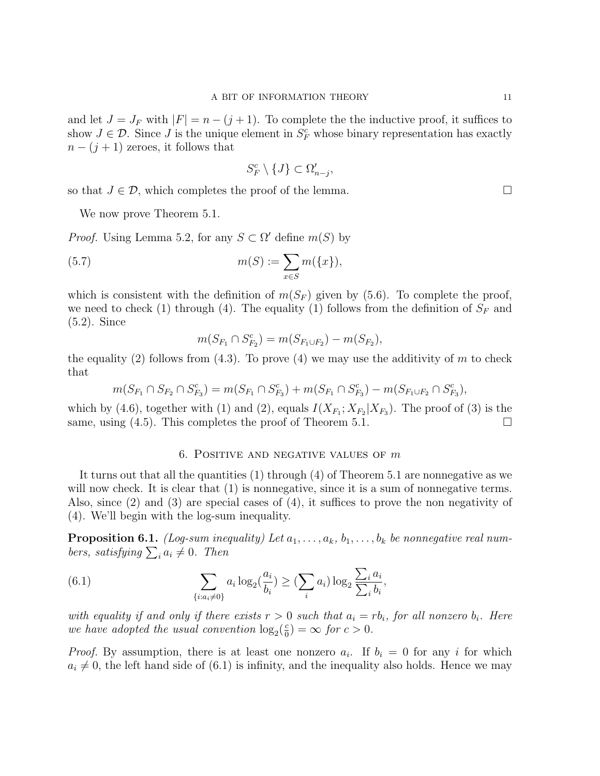and let  $J = J_F$  with  $|F| = n - (j + 1)$ . To complete the the inductive proof, it suffices to show  $J \in \mathcal{D}$ . Since J is the unique element in  $S_F^c$  whose binary representation has exactly  $n - (j + 1)$  zeroes, it follows that

$$
S_F^c \setminus \{J\} \subset \Omega'_{n-j},
$$

so that  $J \in \mathcal{D}$ , which completes the proof of the lemma.

We now prove Theorem 5.1.

*Proof.* Using Lemma 5.2, for any  $S \subset \Omega'$  define  $m(S)$  by

(5.7) 
$$
m(S) := \sum_{x \in S} m(\{x\}),
$$

which is consistent with the definition of  $m(S_F)$  given by (5.6). To complete the proof, we need to check (1) through (4). The equality (1) follows from the definition of  $S_F$  and (5.2). Since

$$
m(S_{F_1} \cap S_{F_2}^c) = m(S_{F_1 \cup F_2}) - m(S_{F_2}),
$$

the equality (2) follows from (4.3). To prove (4) we may use the additivity of m to check that

$$
m(S_{F_1} \cap S_{F_2} \cap S_{F_3}^c) = m(S_{F_1} \cap S_{F_3}^c) + m(S_{F_1} \cap S_{F_3}^c) - m(S_{F_1 \cup F_2} \cap S_{F_3}^c),
$$

which by (4.6), together with (1) and (2), equals  $I(X_{F_1}; X_{F_2}|X_{F_3})$ . The proof of (3) is the same, using  $(4.5)$ . This completes the proof of Theorem 5.1.

# 6. POSITIVE AND NEGATIVE VALUES OF  $m$

It turns out that all the quantities (1) through (4) of Theorem 5.1 are nonnegative as we will now check. It is clear that  $(1)$  is nonnegative, since it is a sum of nonnegative terms. Also, since (2) and (3) are special cases of (4), it suffices to prove the non negativity of (4). We'll begin with the log-sum inequality.

**Proposition 6.1.** (Log-sum inequality) Let  $a_1, \ldots, a_k, b_1, \ldots, b_k$  be nonnegative real numbers, satisfying  $\sum_i a_i \neq 0$ . Then

(6.1) 
$$
\sum_{\{i:a_i\neq 0\}} a_i \log_2(\frac{a_i}{b_i}) \geq (\sum_i a_i) \log_2 \frac{\sum_i a_i}{\sum_i b_i},
$$

with equality if and only if there exists  $r > 0$  such that  $a_i = rb_i$ , for all nonzero  $b_i$ . Here we have adopted the usual convention  $\log_2(\frac{e}{0})$  $\frac{c}{0}$ ) =  $\infty$  for  $c > 0$ .

*Proof.* By assumption, there is at least one nonzero  $a_i$ . If  $b_i = 0$  for any i for which  $a_i \neq 0$ , the left hand side of (6.1) is infinity, and the inequality also holds. Hence we may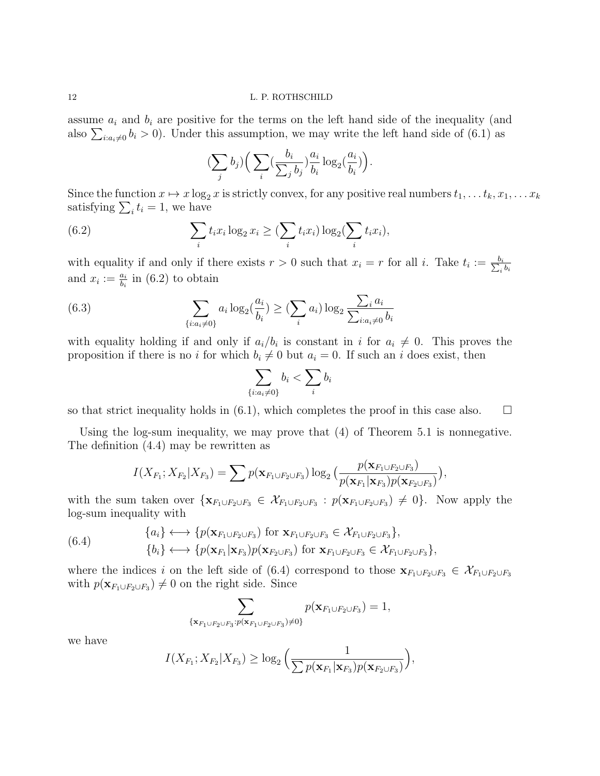assume  $a_i$  and  $b_i$  are positive for the terms on the left hand side of the inequality (and also  $\sum_{i:a_i\neq 0} b_i > 0$ ). Under this assumption, we may write the left hand side of (6.1) as

$$
\left(\sum_j b_j\right) \left(\sum_i \left(\frac{b_i}{\sum_j b_j}\right)\frac{a_i}{b_i} \log_2\left(\frac{a_i}{b_i}\right)\right).
$$

Since the function  $x \mapsto x \log_2 x$  is strictly convex, for any positive real numbers  $t_1, \ldots t_k, x_1, \ldots x_k$ satisfying  $\sum_i t_i = 1$ , we have

(6.2) 
$$
\sum_{i} t_i x_i \log_2 x_i \geq (\sum_{i} t_i x_i) \log_2 (\sum_{i} t_i x_i),
$$

with equality if and only if there exists  $r > 0$  such that  $x_i = r$  for all i. Take  $t_i := \frac{b_i}{\sum_i s_i}$  $_i\,b_i$ and  $x_i := \frac{a_i}{b_i}$  in (6.2) to obtain

(6.3) 
$$
\sum_{\{i:a_i\neq 0\}} a_i \log_2(\frac{a_i}{b_i}) \ge (\sum_i a_i) \log_2 \frac{\sum_i a_i}{\sum_{i:a_i\neq 0} b_i}
$$

with equality holding if and only if  $a_i/b_i$  is constant in i for  $a_i \neq 0$ . This proves the proposition if there is no i for which  $b_i \neq 0$  but  $a_i = 0$ . If such an i does exist, then

$$
\sum_{\{i:a_i\neq 0\}}b_i < \sum_i b_i
$$

so that strict inequality holds in  $(6.1)$ , which completes the proof in this case also.  $\square$ 

Using the log-sum inequality, we may prove that (4) of Theorem 5.1 is nonnegative. The definition (4.4) may be rewritten as

$$
I(X_{F_1}; X_{F_2}|X_{F_3}) = \sum p(\mathbf{x}_{F_1 \cup F_2 \cup F_3}) \log_2(\frac{p(\mathbf{x}_{F_1 \cup F_2 \cup F_3})}{p(\mathbf{x}_{F_1}|\mathbf{x}_{F_3})p(\mathbf{x}_{F_2 \cup F_3})}),
$$

with the sum taken over  $\{ \mathbf{x}_{F_1 \cup F_2 \cup F_3} \in \mathcal{X}_{F_1 \cup F_2 \cup F_3} : p(\mathbf{x}_{F_1 \cup F_2 \cup F_3}) \neq 0 \}$ . Now apply the log-sum inequality with

(6.4) 
$$
\{a_i\} \longleftrightarrow \{p(\mathbf{x}_{F_1 \cup F_2 \cup F_3}) \text{ for } \mathbf{x}_{F_1 \cup F_2 \cup F_3} \in \mathcal{X}_{F_1 \cup F_2 \cup F_3}\},\
$$

$$
\{b_i\} \longleftrightarrow \{p(\mathbf{x}_{F_1}|\mathbf{x}_{F_3})p(\mathbf{x}_{F_2 \cup F_3}) \text{ for } \mathbf{x}_{F_1 \cup F_2 \cup F_3} \in \mathcal{X}_{F_1 \cup F_2 \cup F_3}\},
$$

where the indices i on the left side of (6.4) correspond to those  $\mathbf{x}_{F_1\cup F_2\cup F_3} \in \mathcal{X}_{F_1\cup F_2\cup F_3}$ with  $p(\mathbf{x}_{F_1\cup F_2\cup F_3}) \neq 0$  on the right side. Since

$$
\sum_{\{\mathbf{x}_{F_1\cup F_2\cup F_3}: p(\mathbf{x}_{F_1\cup F_2\cup F_3})\neq 0\}} p(\mathbf{x}_{F_1\cup F_2\cup F_3}) = 1,
$$

we have

$$
I(X_{F_1}; X_{F_2}|X_{F_3}) \geq \log_2\left(\frac{1}{\sum p(\mathbf{x}_{F_1}|\mathbf{x}_{F_3})p(\mathbf{x}_{F_2\cup F_3})}\right),
$$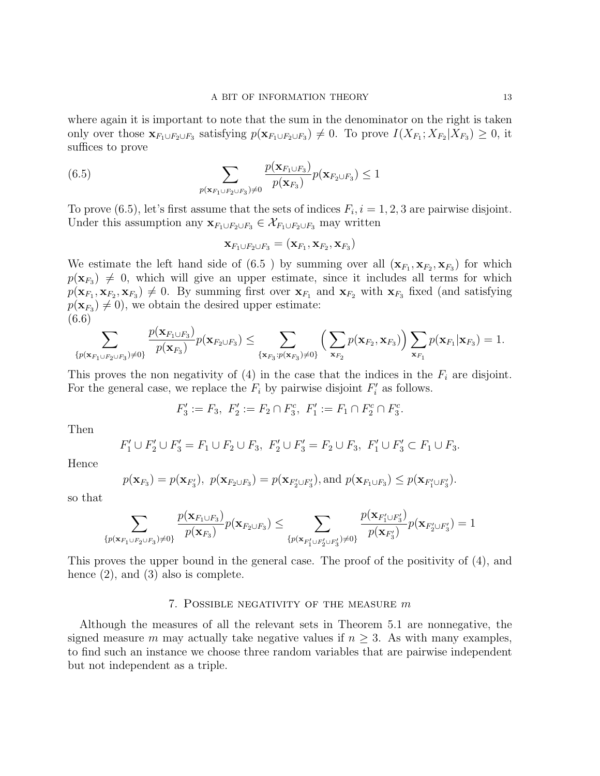where again it is important to note that the sum in the denominator on the right is taken only over those  $\mathbf{x}_{F_1\cup F_2\cup F_3}$  satisfying  $p(\mathbf{x}_{F_1\cup F_2\cup F_3}) \neq 0$ . To prove  $I(X_{F_1}; X_{F_2}|X_{F_3}) \geq 0$ , it suffices to prove

(6.5) 
$$
\sum_{p(\mathbf{x}_{F_1\cup F_2\cup F_3})\neq 0} \frac{p(\mathbf{x}_{F_1\cup F_3})}{p(\mathbf{x}_{F_3})} p(\mathbf{x}_{F_2\cup F_3}) \leq 1
$$

To prove (6.5), let's first assume that the sets of indices  $F_i$ ,  $i = 1, 2, 3$  are pairwise disjoint. Under this assumption any  $\mathbf{x}_{F_1\cup F_2\cup F_3} \in \mathcal{X}_{F_1\cup F_2\cup F_3}$  may written

$$
\mathbf{x}_{F_1\cup F_2\cup F_3}=(\mathbf{x}_{F_1},\mathbf{x}_{F_2},\mathbf{x}_{F_3})
$$

We estimate the left hand side of  $(6.5)$  by summing over all  $(\mathbf{x}_{F_1}, \mathbf{x}_{F_2}, \mathbf{x}_{F_3})$  for which  $p(\mathbf{x}_{F_3}) \neq 0$ , which will give an upper estimate, since it includes all terms for which  $p(\mathbf{x}_{F_1}, \mathbf{x}_{F_2}, \mathbf{x}_{F_3}) \neq 0$ . By summing first over  $\mathbf{x}_{F_1}$  and  $\mathbf{x}_{F_2}$  with  $\mathbf{x}_{F_3}$  fixed (and satisfying  $p(\mathbf{x}_{F_3}) \neq 0$ , we obtain the desired upper estimate: (6.6)

$$
\sum_{\{p(\mathbf{x}_{F_1\cup F_2\cup F_3})\neq 0\}}\frac{p(\mathbf{x}_{F_1\cup F_3})}{p(\mathbf{x}_{F_3})}p(\mathbf{x}_{F_2\cup F_3}) \leq \sum_{\{\mathbf{x}_{F_3}:p(\mathbf{x}_{F_3})\neq 0\}}\left(\sum_{\mathbf{x}_{F_2}}p(\mathbf{x}_{F_2},\mathbf{x}_{F_3})\right)\sum_{\mathbf{x}_{F_1}}p(\mathbf{x}_{F_1}|\mathbf{x}_{F_3}) = 1.
$$

This proves the non negativity of  $(4)$  in the case that the indices in the  $F_i$  are disjoint. For the general case, we replace the  $F_i$  by pairwise disjoint  $F'_i$  as follows.

$$
F_3' := F_3, \ F_2' := F_2 \cap F_3^c, \ F_1' := F_1 \cap F_2^c \cap F_3^c.
$$

Then

$$
F_1' \cup F_2' \cup F_3' = F_1 \cup F_2 \cup F_3, \ F_2' \cup F_3' = F_2 \cup F_3, \ F_1' \cup F_3' \subset F_1 \cup F_3.
$$

Hence

$$
p(\mathbf{x}_{F_3}) = p(\mathbf{x}_{F'_3}), p(\mathbf{x}_{F_2 \cup F_3}) = p(\mathbf{x}_{F'_2 \cup F'_3}), \text{and } p(\mathbf{x}_{F_1 \cup F_3}) \leq p(\mathbf{x}_{F'_1 \cup F'_3}).
$$

so that

$$
\sum_{\{p(\mathbf{x}_{F_1\cup F_2\cup F_3})\neq 0\}}\frac{p(\mathbf{x}_{F_1\cup F_3})}{p(\mathbf{x}_{F_3})}p(\mathbf{x}_{F_2\cup F_3})\leq \sum_{\{p(\mathbf{x}_{F_1'\cup F_2'\cup F_3'})\neq 0\}}\frac{p(\mathbf{x}_{F_1'\cup F_3'})}{p(\mathbf{x}_{F_3'})}p(\mathbf{x}_{F_2'\cup F_3'})=1
$$

This proves the upper bound in the general case. The proof of the positivity of (4), and hence  $(2)$ , and  $(3)$  also is complete.

# 7. POSSIBLE NEGATIVITY OF THE MEASURE  $m$

Although the measures of all the relevant sets in Theorem 5.1 are nonnegative, the signed measure m may actually take negative values if  $n > 3$ . As with many examples, to find such an instance we choose three random variables that are pairwise independent but not independent as a triple.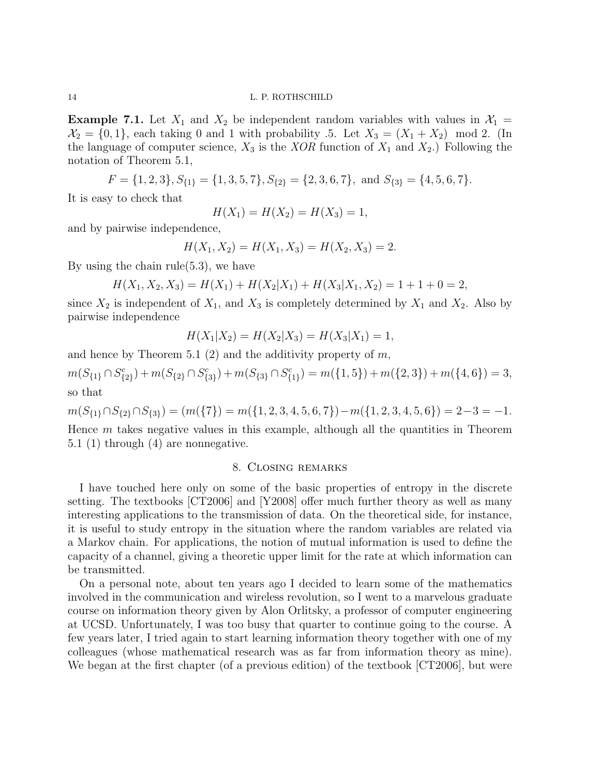**Example 7.1.** Let  $X_1$  and  $X_2$  be independent random variables with values in  $X_1$  =  $\mathcal{X}_2 = \{0, 1\}$ , each taking 0 and 1 with probability .5. Let  $X_3 = (X_1 + X_2) \mod 2$ . (In the language of computer science,  $X_3$  is the XOR function of  $X_1$  and  $X_2$ .) Following the notation of Theorem 5.1,

$$
F = \{1, 2, 3\}, S_{\{1\}} = \{1, 3, 5, 7\}, S_{\{2\}} = \{2, 3, 6, 7\}, \text{ and } S_{\{3\}} = \{4, 5, 6, 7\}.
$$

It is easy to check that

$$
H(X_1) = H(X_2) = H(X_3) = 1,
$$

and by pairwise independence,

$$
H(X_1, X_2) = H(X_1, X_3) = H(X_2, X_3) = 2.
$$

By using the chain rule(5.3), we have

$$
H(X_1, X_2, X_3) = H(X_1) + H(X_2|X_1) + H(X_3|X_1, X_2) = 1 + 1 + 0 = 2,
$$

since  $X_2$  is independent of  $X_1$ , and  $X_3$  is completely determined by  $X_1$  and  $X_2$ . Also by pairwise independence

$$
H(X_1|X_2) = H(X_2|X_3) = H(X_3|X_1) = 1,
$$

and hence by Theorem 5.1  $(2)$  and the additivity property of m,

 $m(S_{\{1\}} \cap S_{\{2\}}^c) + m(S_{\{2\}} \cap S_{\{3\}}^c) + m(S_{\{3\}} \cap S_{\{1\}}^c) = m(\{1, 5\}) + m(\{2, 3\}) + m(\{4, 6\}) = 3,$ so that

$$
m(S_{\{1\}} \cap S_{\{2\}} \cap S_{\{3\}}) = (m(\{7\}) = m(\{1,2,3,4,5,6,7\}) - m(\{1,2,3,4,5,6\}) = 2 - 3 = -1.
$$

Hence  $m$  takes negative values in this example, although all the quantities in Theorem 5.1 (1) through (4) are nonnegative.

# 8. Closing remarks

I have touched here only on some of the basic properties of entropy in the discrete setting. The textbooks [CT2006] and [Y2008] offer much further theory as well as many interesting applications to the transmission of data. On the theoretical side, for instance, it is useful to study entropy in the situation where the random variables are related via a Markov chain. For applications, the notion of mutual information is used to define the capacity of a channel, giving a theoretic upper limit for the rate at which information can be transmitted.

On a personal note, about ten years ago I decided to learn some of the mathematics involved in the communication and wireless revolution, so I went to a marvelous graduate course on information theory given by Alon Orlitsky, a professor of computer engineering at UCSD. Unfortunately, I was too busy that quarter to continue going to the course. A few years later, I tried again to start learning information theory together with one of my colleagues (whose mathematical research was as far from information theory as mine). We began at the first chapter (of a previous edition) of the textbook [CT2006], but were